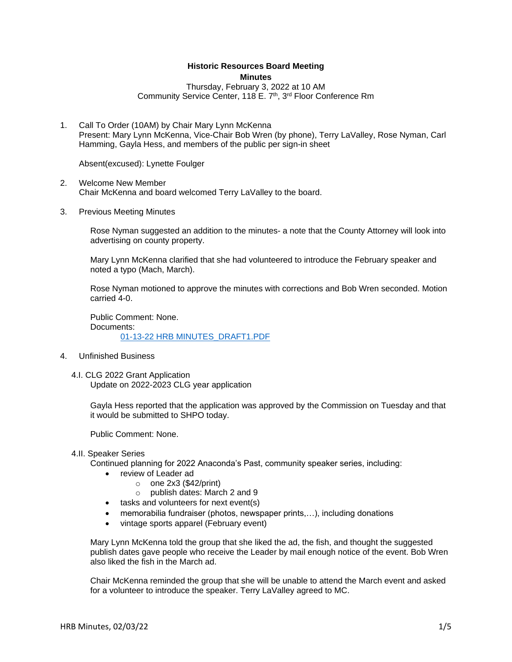## **Historic Resources Board Meeting Minutes**

Thursday, February 3, 2022 at 10 AM Community Service Center, 118 E. 7<sup>th</sup>, 3<sup>rd</sup> Floor Conference Rm

1. Call To Order (10AM) by Chair Mary Lynn McKenna Present: Mary Lynn McKenna, Vice-Chair Bob Wren (by phone), Terry LaValley, Rose Nyman, Carl Hamming, Gayla Hess, and members of the public per sign-in sheet

Absent(excused): Lynette Foulger

- 2. Welcome New Member Chair McKenna and board welcomed Terry LaValley to the board.
- 3. Previous Meeting Minutes

Rose Nyman suggested an addition to the minutes- a note that the County Attorney will look into advertising on county property.

Mary Lynn McKenna clarified that she had volunteered to introduce the February speaker and noted a typo (Mach, March).

Rose Nyman motioned to approve the minutes with corrections and Bob Wren seconded. Motion carried 4-0.

Public Comment: None. Documents: [01-13-22 HRB MINUTES\\_DRAFT1.PDF](https://www.adlc.us/AgendaCenter/ViewFile/Item/289?fileID=515)

- 4. Unfinished Business
	- 4.I. CLG 2022 Grant Application Update on 2022-2023 CLG year application

Gayla Hess reported that the application was approved by the Commission on Tuesday and that it would be submitted to SHPO today.

Public Comment: None.

4.II. Speaker Series

Continued planning for 2022 Anaconda's Past, community speaker series, including:

- review of Leader ad
	- $\circ$  one 2x3 (\$42/print)
	- o publish dates: March 2 and 9
- tasks and volunteers for next event(s)
- memorabilia fundraiser (photos, newspaper prints,...), including donations
- vintage sports apparel (February event)

Mary Lynn McKenna told the group that she liked the ad, the fish, and thought the suggested publish dates gave people who receive the Leader by mail enough notice of the event. Bob Wren also liked the fish in the March ad.

Chair McKenna reminded the group that she will be unable to attend the March event and asked for a volunteer to introduce the speaker. Terry LaValley agreed to MC.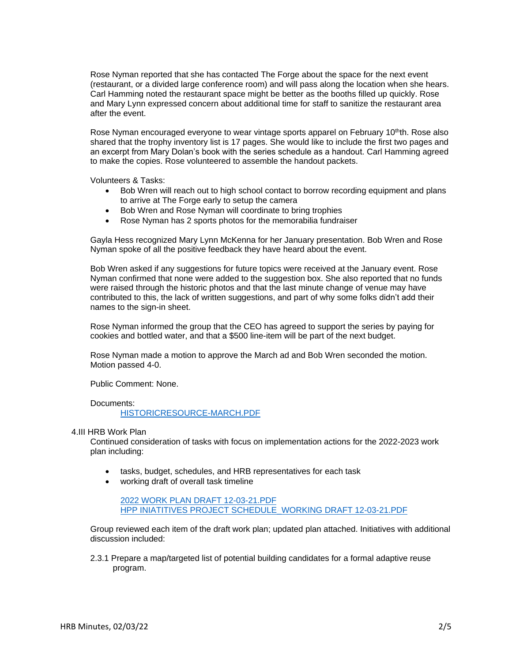Rose Nyman reported that she has contacted The Forge about the space for the next event (restaurant, or a divided large conference room) and will pass along the location when she hears. Carl Hamming noted the restaurant space might be better as the booths filled up quickly. Rose and Mary Lynn expressed concern about additional time for staff to sanitize the restaurant area after the event.

Rose Nyman encouraged everyone to wear vintage sports apparel on February 10<sup>th</sup>th. Rose also shared that the trophy inventory list is 17 pages. She would like to include the first two pages and an excerpt from Mary Dolan's book with the series schedule as a handout. Carl Hamming agreed to make the copies. Rose volunteered to assemble the handout packets.

Volunteers & Tasks:

- Bob Wren will reach out to high school contact to borrow recording equipment and plans to arrive at The Forge early to setup the camera
- Bob Wren and Rose Nyman will coordinate to bring trophies
- Rose Nyman has 2 sports photos for the memorabilia fundraiser

Gayla Hess recognized Mary Lynn McKenna for her January presentation. Bob Wren and Rose Nyman spoke of all the positive feedback they have heard about the event.

Bob Wren asked if any suggestions for future topics were received at the January event. Rose Nyman confirmed that none were added to the suggestion box. She also reported that no funds were raised through the historic photos and that the last minute change of venue may have contributed to this, the lack of written suggestions, and part of why some folks didn't add their names to the sign-in sheet.

Rose Nyman informed the group that the CEO has agreed to support the series by paying for cookies and bottled water, and that a \$500 line-item will be part of the next budget.

Rose Nyman made a motion to approve the March ad and Bob Wren seconded the motion. Motion passed 4-0.

Public Comment: None.

Documents:

[HISTORICRESOURCE-MARCH.PDF](https://www.adlc.us/AgendaCenter/ViewFile/Item/291?fileID=516)

4.III HRB Work Plan

Continued consideration of tasks with focus on implementation actions for the 2022-2023 work plan including:

- tasks, budget, schedules, and HRB representatives for each task
- working draft of overall task timeline

[2022 WORK PLAN DRAFT 12-03-21.PDF](https://www.adlc.us/AgendaCenter/ViewFile/Item/292?fileID=517) [HPP INIATITIVES PROJECT SCHEDULE\\_WORKING DRAFT 12-03-21.PDF](https://www.adlc.us/AgendaCenter/ViewFile/Item/292?fileID=518)

Group reviewed each item of the draft work plan; updated plan attached. Initiatives with additional discussion included:

2.3.1 Prepare a map/targeted list of potential building candidates for a formal adaptive reuse program.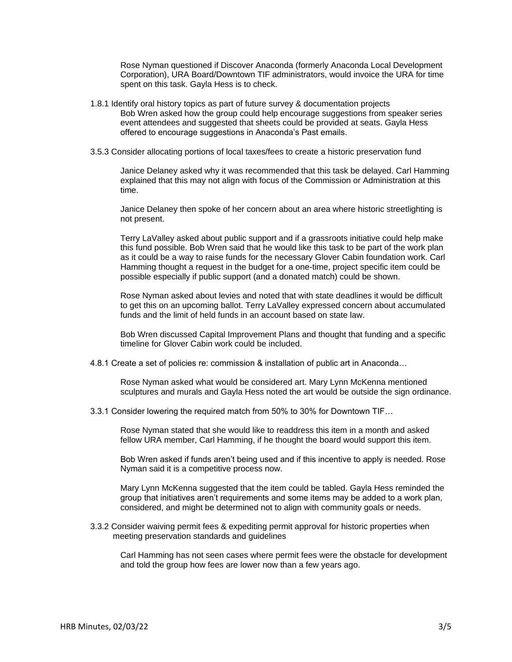Rose Nyman questioned if Discover Anaconda (formerly Anaconda Local Development Corporation), URA Board/Downtown TIF administrators, would invoice the URA for time spent on this task. Gayla Hess is to check.

- 1.8.1 Identify oral history topics as part of future survey & documentation projects Bob Wren asked how the group could help encourage suggestions from speaker series event attendees and suggested that sheets could be provided at seats. Gayla Hess offered to encourage suggestions in Anaconda's Past emails.
- 3.5.3 Consider allocating portions of local taxes/fees to create a historic preservation fund

Janice Delaney asked why it was recommended that this task be delayed. Carl Hamming explained that this may not align with focus of the Commission or Administration at this time.

Janice Delaney then spoke of her concern about an area where historic streetlighting is not present.

Terry LaValley asked about public support and if a grassroots initiative could help make this fund possible. Bob Wren said that he would like this task to be part of the work plan as it could be a way to raise funds for the necessary Glover Cabin foundation work. Carl Hamming thought a request in the budget for a one-time, project specific item could be possible especially if public support (and a donated match) could be shown.

Rose Nyman asked about levies and noted that with state deadlines it would be difficult to get this on an upcoming ballot. Terry LaValley expressed concern about accumulated funds and the limit of held funds in an account based on state law.

Bob Wren discussed Capital Improvement Plans and thought that funding and a specific timeline for Glover Cabin work could be included.

4.8.1 Create a set of policies re: commission & installation of public art in Anaconda…

Rose Nyman asked what would be considered art. Mary Lynn McKenna mentioned sculptures and murals and Gayla Hess noted the art would be outside the sign ordinance.

3.3.1 Consider lowering the required match from 50% to 30% for Downtown TIF…

Rose Nyman stated that she would like to readdress this item in a month and asked fellow URA member, Carl Hamming, if he thought the board would support this item.

Bob Wren asked if funds aren't being used and if this incentive to apply is needed. Rose Nyman said it is a competitive process now.

Mary Lynn McKenna suggested that the item could be tabled. Gayla Hess reminded the group that initiatives aren't requirements and some items may be added to a work plan, considered, and might be determined not to align with community goals or needs.

3.3.2 Consider waiving permit fees & expediting permit approval for historic properties when meeting preservation standards and guidelines

Carl Hamming has not seen cases where permit fees were the obstacle for development and told the group how fees are lower now than a few years ago.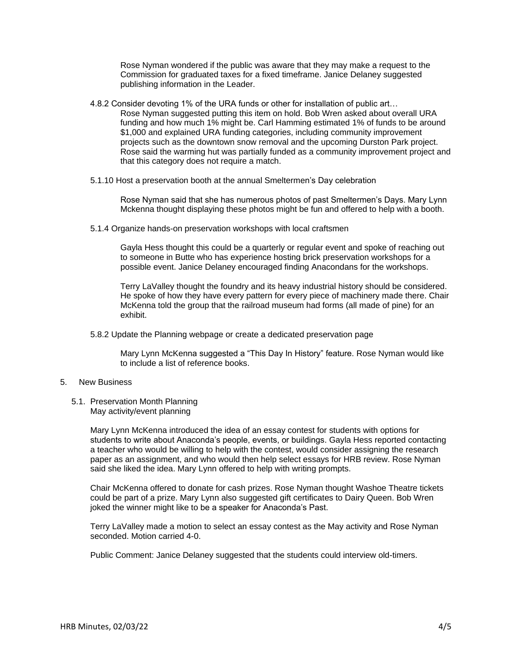Rose Nyman wondered if the public was aware that they may make a request to the Commission for graduated taxes for a fixed timeframe. Janice Delaney suggested publishing information in the Leader.

- 4.8.2 Consider devoting 1% of the URA funds or other for installation of public art… Rose Nyman suggested putting this item on hold. Bob Wren asked about overall URA funding and how much 1% might be. Carl Hamming estimated 1% of funds to be around \$1,000 and explained URA funding categories, including community improvement projects such as the downtown snow removal and the upcoming Durston Park project. Rose said the warming hut was partially funded as a community improvement project and that this category does not require a match.
- 5.1.10 Host a preservation booth at the annual Smeltermen's Day celebration

Rose Nyman said that she has numerous photos of past Smeltermen's Days. Mary Lynn Mckenna thought displaying these photos might be fun and offered to help with a booth.

5.1.4 Organize hands-on preservation workshops with local craftsmen

Gayla Hess thought this could be a quarterly or regular event and spoke of reaching out to someone in Butte who has experience hosting brick preservation workshops for a possible event. Janice Delaney encouraged finding Anacondans for the workshops.

Terry LaValley thought the foundry and its heavy industrial history should be considered. He spoke of how they have every pattern for every piece of machinery made there. Chair McKenna told the group that the railroad museum had forms (all made of pine) for an exhibit.

5.8.2 Update the Planning webpage or create a dedicated preservation page

Mary Lynn McKenna suggested a "This Day In History" feature. Rose Nyman would like to include a list of reference books.

## 5. New Business

5.1. Preservation Month Planning May activity/event planning

> Mary Lynn McKenna introduced the idea of an essay contest for students with options for students to write about Anaconda's people, events, or buildings. Gayla Hess reported contacting a teacher who would be willing to help with the contest, would consider assigning the research paper as an assignment, and who would then help select essays for HRB review. Rose Nyman said she liked the idea. Mary Lynn offered to help with writing prompts.

> Chair McKenna offered to donate for cash prizes. Rose Nyman thought Washoe Theatre tickets could be part of a prize. Mary Lynn also suggested gift certificates to Dairy Queen. Bob Wren joked the winner might like to be a speaker for Anaconda's Past.

Terry LaValley made a motion to select an essay contest as the May activity and Rose Nyman seconded. Motion carried 4-0.

Public Comment: Janice Delaney suggested that the students could interview old-timers.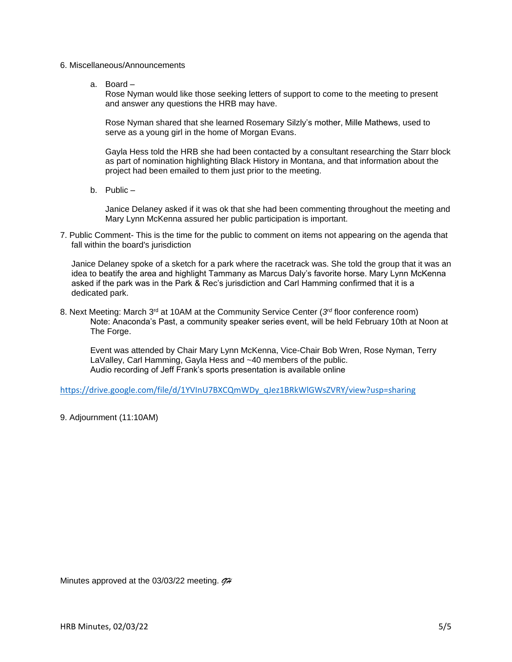- 6. Miscellaneous/Announcements
	- a. Board –

Rose Nyman would like those seeking letters of support to come to the meeting to present and answer any questions the HRB may have.

Rose Nyman shared that she learned Rosemary Silzly's mother, Mille Mathews, used to serve as a young girl in the home of Morgan Evans.

Gayla Hess told the HRB she had been contacted by a consultant researching the Starr block as part of nomination highlighting Black History in Montana, and that information about the project had been emailed to them just prior to the meeting.

b. Public –

Janice Delaney asked if it was ok that she had been commenting throughout the meeting and Mary Lynn McKenna assured her public participation is important.

7. Public Comment- This is the time for the public to comment on items not appearing on the agenda that fall within the board's jurisdiction

Janice Delaney spoke of a sketch for a park where the racetrack was. She told the group that it was an idea to beatify the area and highlight Tammany as Marcus Daly's favorite horse. Mary Lynn McKenna asked if the park was in the Park & Rec's jurisdiction and Carl Hamming confirmed that it is a dedicated park.

8. Next Meeting: March 3<sup>rd</sup> at 10AM at the Community Service Center (3<sup>rd</sup> floor conference room) Note: Anaconda's Past, a community speaker series event, will be held February 10th at Noon at The Forge.

Event was attended by Chair Mary Lynn McKenna, Vice-Chair Bob Wren, Rose Nyman, Terry LaValley, Carl Hamming, Gayla Hess and ~40 members of the public. Audio recording of Jeff Frank's sports presentation is available online

[https://drive.google.com/file/d/1YVInU7BXCQmWDy\\_qJez1BRkWlGWsZVRY/view?usp=sharing](https://drive.google.com/file/d/1YVInU7BXCQmWDy_qJez1BRkWlGWsZVRY/view?usp=sharing)

9. Adjournment (11:10AM)

Minutes approved at the 03/03/22 meeting. *GH*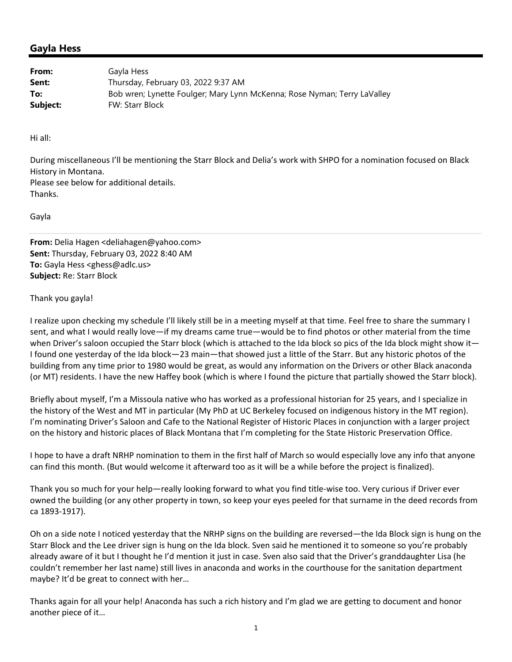## **Gayla Hess**

| From:    | Gayla Hess                                                               |
|----------|--------------------------------------------------------------------------|
| Sent:    | Thursday, February 03, 2022 9:37 AM                                      |
| To:      | Bob wren; Lynette Foulger; Mary Lynn McKenna; Rose Nyman; Terry LaValley |
| Subject: | <b>FW: Starr Block</b>                                                   |

Hi all:

During miscellaneous I'll be mentioning the Starr Block and Delia's work with SHPO for a nomination focused on Black History in Montana.

Please see below for additional details. Thanks.

Gayla

**From:** Delia Hagen <deliahagen@yahoo.com> **Sent:** Thursday, February 03, 2022 8:40 AM **To:** Gayla Hess <ghess@adlc.us> **Subject:** Re: Starr Block

## Thank you gayla!

I realize upon checking my schedule I'll likely still be in a meeting myself at that time. Feel free to share the summary I sent, and what I would really love—if my dreams came true—would be to find photos or other material from the time when Driver's saloon occupied the Starr block (which is attached to the Ida block so pics of the Ida block might show it— I found one yesterday of the Ida block—23 main—that showed just a little of the Starr. But any historic photos of the building from any time prior to 1980 would be great, as would any information on the Drivers or other Black anaconda (or MT) residents. I have the new Haffey book (which is where I found the picture that partially showed the Starr block).

Briefly about myself, I'm a Missoula native who has worked as a professional historian for 25 years, and I specialize in the history of the West and MT in particular (My PhD at UC Berkeley focused on indigenous history in the MT region). I'm nominating Driver's Saloon and Cafe to the National Register of Historic Places in conjunction with a larger project on the history and historic places of Black Montana that I'm completing for the State Historic Preservation Office.

I hope to have a draft NRHP nomination to them in the first half of March so would especially love any info that anyone can find this month. (But would welcome it afterward too as it will be a while before the project is finalized).

Thank you so much for your help—really looking forward to what you find title‐wise too. Very curious if Driver ever owned the building (or any other property in town, so keep your eyes peeled for that surname in the deed records from ca 1893‐1917).

Oh on a side note I noticed yesterday that the NRHP signs on the building are reversed—the Ida Block sign is hung on the Starr Block and the Lee driver sign is hung on the Ida block. Sven said he mentioned it to someone so you're probably already aware of it but I thought he I'd mention it just in case. Sven also said that the Driver's granddaughter Lisa (he couldn't remember her last name) still lives in anaconda and works in the courthouse for the sanitation department maybe? It'd be great to connect with her…

Thanks again for all your help! Anaconda has such a rich history and I'm glad we are getting to document and honor another piece of it…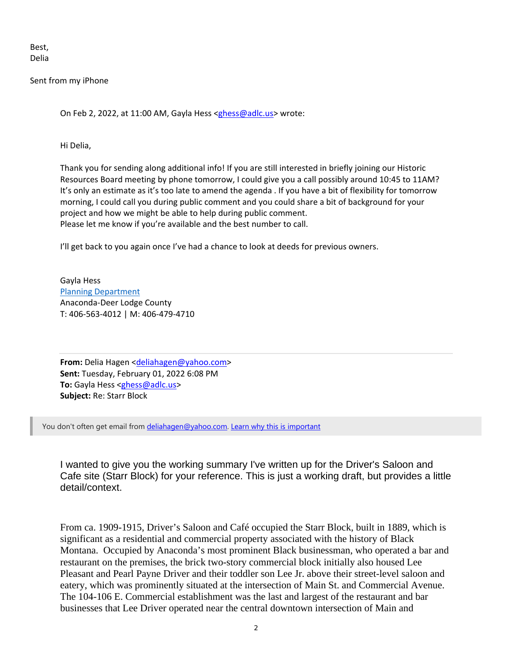Best, Delia

Sent from my iPhone

On Feb 2, 2022, at 11:00 AM, Gayla Hess <ghess@adlc.us> wrote:

Hi Delia,

Thank you for sending along additional info! If you are still interested in briefly joining our Historic Resources Board meeting by phone tomorrow, I could give you a call possibly around 10:45 to 11AM? It's only an estimate as it's too late to amend the agenda . If you have a bit of flexibility for tomorrow morning, I could call you during public comment and you could share a bit of background for your project and how we might be able to help during public comment. Please let me know if you're available and the best number to call.

I'll get back to you again once I've had a chance to look at deeds for previous owners.

Gayla Hess Planning Department Anaconda‐Deer Lodge County T: 406‐563‐4012 | M: 406‐479‐4710

From: Delia Hagen <deliahagen@yahoo.com> **Sent:** Tuesday, February 01, 2022 6:08 PM To: Gayla Hess <ghess@adlc.us> **Subject:** Re: Starr Block

You don't often get email from deliahagen@yahoo.com. Learn why this is important

I wanted to give you the working summary I've written up for the Driver's Saloon and Cafe site (Starr Block) for your reference. This is just a working draft, but provides a little detail/context.

From ca. 1909-1915, Driver's Saloon and Café occupied the Starr Block, built in 1889, which is significant as a residential and commercial property associated with the history of Black Montana. Occupied by Anaconda's most prominent Black businessman, who operated a bar and restaurant on the premises, the brick two-story commercial block initially also housed Lee Pleasant and Pearl Payne Driver and their toddler son Lee Jr. above their street-level saloon and eatery, which was prominently situated at the intersection of Main St. and Commercial Avenue. The 104-106 E. Commercial establishment was the last and largest of the restaurant and bar businesses that Lee Driver operated near the central downtown intersection of Main and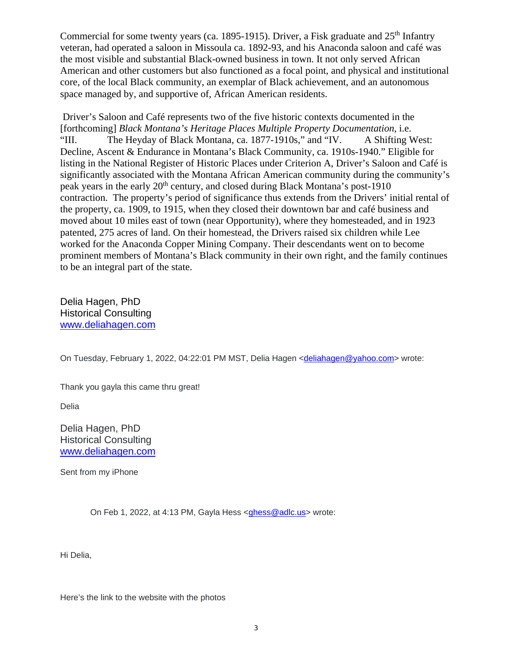Commercial for some twenty years (ca. 1895-1915). Driver, a Fisk graduate and  $25<sup>th</sup>$  Infantry veteran, had operated a saloon in Missoula ca. 1892-93, and his Anaconda saloon and café was the most visible and substantial Black-owned business in town. It not only served African American and other customers but also functioned as a focal point, and physical and institutional core, of the local Black community, an exemplar of Black achievement, and an autonomous space managed by, and supportive of, African American residents.

 Driver's Saloon and Café represents two of the five historic contexts documented in the [forthcoming] *Black Montana's Heritage Places Multiple Property Documentation*, i.e. "III. The Heyday of Black Montana, ca. 1877-1910s," and "IV. A Shifting West: Decline, Ascent & Endurance in Montana's Black Community, ca. 1910s-1940." Eligible for listing in the National Register of Historic Places under Criterion A, Driver's Saloon and Café is significantly associated with the Montana African American community during the community's peak years in the early 20<sup>th</sup> century, and closed during Black Montana's post-1910 contraction. The property's period of significance thus extends from the Drivers' initial rental of the property, ca. 1909, to 1915, when they closed their downtown bar and café business and moved about 10 miles east of town (near Opportunity), where they homesteaded, and in 1923 patented, 275 acres of land. On their homestead, the Drivers raised six children while Lee worked for the Anaconda Copper Mining Company. Their descendants went on to become prominent members of Montana's Black community in their own right, and the family continues to be an integral part of the state.

Delia Hagen, PhD Historical Consulting www.deliahagen.com

On Tuesday, February 1, 2022, 04:22:01 PM MST, Delia Hagen <deliahagen@yahoo.com> wrote:

Thank you gayla this came thru great!

Delia

Delia Hagen, PhD Historical Consulting www.deliahagen.com

Sent from my iPhone

On Feb 1, 2022, at 4:13 PM, Gayla Hess <ghess@adlc.us> wrote:

Hi Delia,

Here's the link to the website with the photos